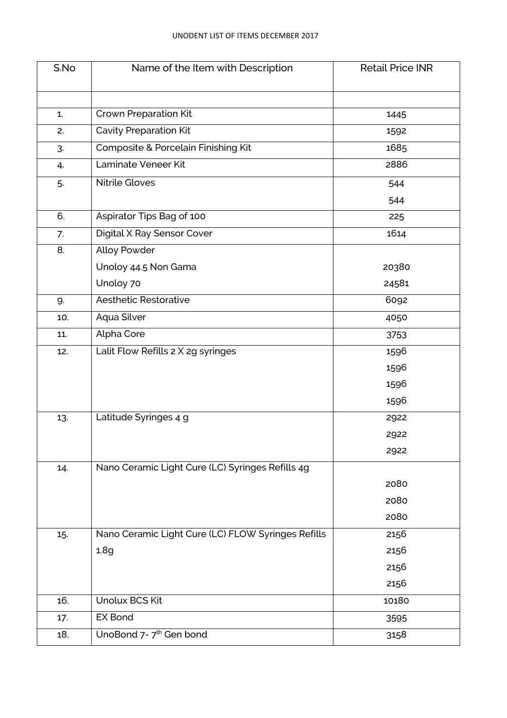| S.No | Name of the Item with Description                  | <b>Retail Price INR</b> |
|------|----------------------------------------------------|-------------------------|
|      |                                                    |                         |
| 1.   | <b>Crown Preparation Kit</b>                       | 1445                    |
| 2.   | <b>Cavity Preparation Kit</b>                      | 1592                    |
| 3.   | Composite & Porcelain Finishing Kit                | 1685                    |
|      | Laminate Veneer Kit                                | 2886                    |
| 4.   |                                                    |                         |
| 5.   | <b>Nitrile Gloves</b>                              | 544                     |
|      |                                                    | 544                     |
| 6.   | Aspirator Tips Bag of 100                          | 225                     |
| 7.   | Digital X Ray Sensor Cover                         | 1614                    |
| 8.   | <b>Alloy Powder</b>                                |                         |
|      | Unoloy 44.5 Non Gama                               | 20380                   |
|      | Unoloy 70                                          | 24581                   |
| 9.   | <b>Aesthetic Restorative</b>                       | 6092                    |
| 10.  | Aqua Silver                                        | 4050                    |
| 11.  | Alpha Core                                         | 3753                    |
| 12.  | Lalit Flow Refills 2 X 2g syringes                 | 1596                    |
|      |                                                    | 1596                    |
|      |                                                    | 1596                    |
|      |                                                    | 1596                    |
| 13.  | Latitude Syringes 4 g                              | 2922                    |
|      |                                                    | 2922                    |
|      |                                                    | 2922                    |
| 14.  | Nano Ceramic Light Cure (LC) Syringes Refills 4g   |                         |
|      |                                                    | 2080                    |
|      |                                                    | 2080                    |
|      |                                                    | 2080                    |
| 15.  | Nano Ceramic Light Cure (LC) FLOW Syringes Refills | 2156                    |
|      | 1.8 <sub>q</sub>                                   | 2156                    |
|      |                                                    | 2156                    |
|      |                                                    | 2156                    |
| 16.  | Unolux BCS Kit                                     | 10180                   |
|      | <b>EX Bond</b>                                     |                         |
| 17.  |                                                    | 3595                    |
| 18.  | UnoBond 7-7 <sup>th</sup> Gen bond                 | 3158                    |